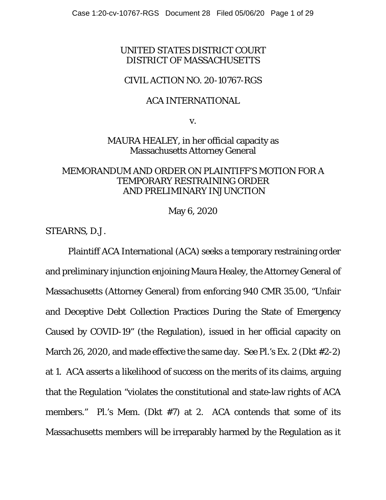# UNITED STATES DISTRICT COURT DISTRICT OF MASSACHUSETTS

## CIVIL ACTION NO. 20-10767-RGS

#### ACA INTERNATIONAL

v.

MAURA HEALEY, in her official capacity as Massachusetts Attorney General

## MEMORANDUM AND ORDER ON PLAINTIFF'S MOTION FOR A TEMPORARY RESTRAINING ORDER AND PRELIMINARY INJUNCTION

May 6, 2020

STEARNS, D.J.

Plaintiff ACA International (ACA) seeks a temporary restraining order and preliminary injunction enjoining Maura Healey, the Attorney General of Massachusetts (Attorney General) from enforcing 940 CMR 35.00, "Unfair and Deceptive Debt Collection Practices During the State of Emergency Caused by COVID-19" (the Regulation), issued in her official capacity on March 26, 2020, and made effective the same day. *See* Pl.'s Ex. 2 (Dkt #2-2) at 1. ACA asserts a likelihood of success on the merits of its claims, arguing that the Regulation "violates the constitutional and state-law rights of ACA members." Pl.'s Mem. (Dkt #7) at 2. ACA contends that some of its Massachusetts members will be irreparably harmed by the Regulation as it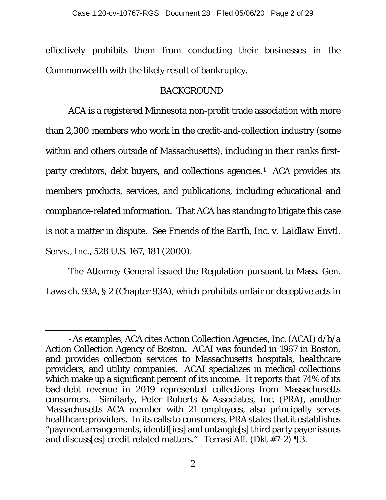effectively prohibits them from conducting their businesses in the Commonwealth with the likely result of bankruptcy.

# BACKGROUND

ACA is a registered Minnesota non-profit trade association with more than 2,300 members who work in the credit-and-collection industry (some within and others outside of Massachusetts), including in their ranks firstparty creditors, debt buyers, and collections agencies.<sup>1</sup> ACA provides its members products, services, and publications, including educational and compliance-related information. That ACA has standing to litigate this case is not a matter in dispute. *See Friends of the Earth, Inc. v. Laidlaw Envtl. Servs., Inc.*, 528 U.S. 167, 181 (2000).

The Attorney General issued the Regulation pursuant to Mass. Gen. Laws ch. 93A, § 2 (Chapter 93A), which prohibits unfair or deceptive acts in

<span id="page-1-0"></span><sup>1</sup> As examples, ACA cites Action Collection Agencies, Inc. (ACAI) d/b/a Action Collection Agency of Boston. ACAI was founded in 1967 in Boston, and provides collection services to Massachusetts hospitals, healthcare providers, and utility companies. ACAI specializes in medical collections which make up a significant percent of its income. It reports that 74% of its bad-debt revenue in 2019 represented collections from Massachusetts consumers. Similarly, Peter Roberts & Associates, Inc. (PRA), another Massachusetts ACA member with 21 employees, also principally serves healthcare providers. In its calls to consumers, PRA states that it establishes "payment arrangements, identif[ies] and untangle[s] third party payer issues and discuss[es] credit related matters." Terrasi Aff. (Dkt #7-2) ¶ 3.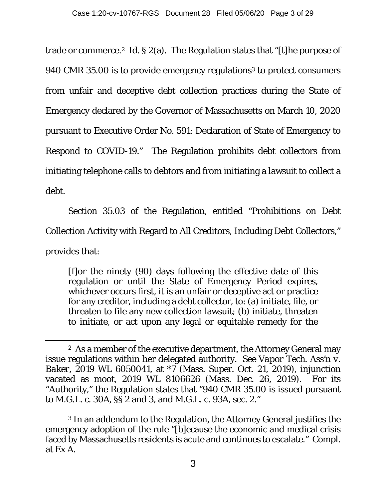trade or commerce.[2](#page-2-0) *Id.* § 2(a). The Regulation states that "[t]he purpose of 940 CMR [3](#page-2-1)5.00 is to provide emergency regulations<sup>3</sup> to protect consumers from unfair and deceptive debt collection practices during the State of Emergency declared by the Governor of Massachusetts on March 10, 2020 pursuant to Executive Order No. 591: Declaration of State of Emergency to Respond to COVID-19." The Regulation prohibits debt collectors from initiating telephone calls to debtors and from initiating a lawsuit to collect a debt.

Section 35.03 of the Regulation, entitled "Prohibitions on Debt Collection Activity with Regard to All Creditors, Including Debt Collectors," provides that:

[f]or the ninety (90) days following the effective date of this regulation or until the State of Emergency Period expires, whichever occurs first, it is an unfair or deceptive act or practice for any creditor, including a debt collector, to: (a) initiate, file, or threaten to file any new collection lawsuit; (b) initiate, threaten to initiate, or act upon any legal or equitable remedy for the

<span id="page-2-1"></span><sup>3</sup> In an addendum to the Regulation, the Attorney General justifies the emergency adoption of the rule "[b]ecause the economic and medical crisis faced by Massachusetts residents is acute and continues to escalate." Compl. at Ex A.

<span id="page-2-0"></span><sup>2</sup> As a member of the executive department, the Attorney General may issue regulations within her delegated authority. *See Vapor Tech. Ass'n v. Baker,* 2019 WL 6050041, at \*7 (Mass. Super. Oct. 21, 2019), injunction vacated as moot, 2019 WL 8106626 (Mass. Dec. 26, 2019). For its "Authority," the Regulation states that "940 CMR 35.00 is issued pursuant to M.G.L. c. 30A, §§ 2 and 3, and M.G.L. c. 93A, sec. 2."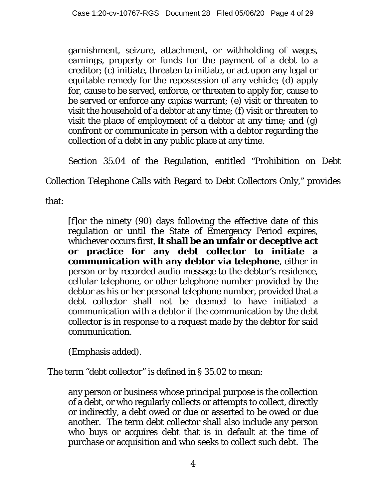garnishment, seizure, attachment, or withholding of wages, earnings, property or funds for the payment of a debt to a creditor; (c) initiate, threaten to initiate, or act upon any legal or equitable remedy for the repossession of any vehicle; (d) apply for, cause to be served, enforce, or threaten to apply for, cause to be served or enforce any capias warrant; (e) visit or threaten to visit the household of a debtor at any time; (f) visit or threaten to visit the place of employment of a debtor at any time; and (g) confront or communicate in person with a debtor regarding the collection of a debt in any public place at any time.

Section 35.04 of the Regulation, entitled "Prohibition on Debt

Collection Telephone Calls with Regard to Debt Collectors Only," provides

that:

[f]or the ninety (90) days following the effective date of this regulation or until the State of Emergency Period expires, whichever occurs first, **it shall be an unfair or deceptive act or practice for any debt collector to initiate a communication with any debtor via telephone***,* either in person or by recorded audio message to the debtor's residence, cellular telephone, or other telephone number provided by the debtor as his or her personal telephone number, provided that a debt collector shall not be deemed to have initiated a communication with a debtor if the communication by the debt collector is in response to a request made by the debtor for said communication.

(Emphasis added).

The term "debt collector" is defined in § 35.02 to mean:

any person or business whose principal purpose is the collection of a debt, or who regularly collects or attempts to collect, directly or indirectly, a debt owed or due or asserted to be owed or due another. The term debt collector shall also include any person who buys or acquires debt that is in default at the time of purchase or acquisition and who seeks to collect such debt. The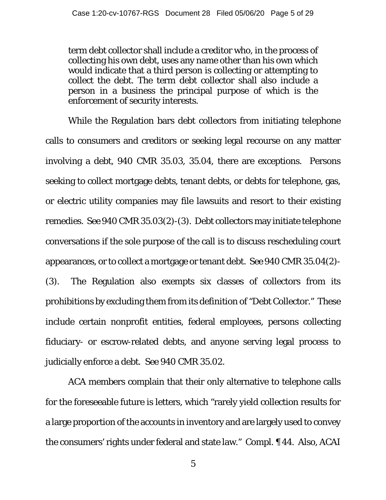term debt collector shall include a creditor who, in the process of collecting his own debt, uses any name other than his own which would indicate that a third person is collecting or attempting to collect the debt. The term debt collector shall also include a person in a business the principal purpose of which is the enforcement of security interests.

While the Regulation bars debt collectors from initiating telephone calls to consumers and creditors or seeking legal recourse on any matter involving a debt, 940 CMR 35.03, 35.04, there are exceptions. Persons seeking to collect mortgage debts, tenant debts, or debts for telephone, gas, or electric utility companies may file lawsuits and resort to their existing remedies. *See* 940 CMR 35.03(2)-(3). Debt collectors may initiate telephone conversations if the sole purpose of the call is to discuss rescheduling court appearances, or to collect a mortgage or tenant debt. *See* 940 CMR 35.04(2)- (3). The Regulation also exempts six classes of collectors from its prohibitions by excluding them from its definition of "Debt Collector." These include certain nonprofit entities, federal employees, persons collecting fiduciary- or escrow-related debts, and anyone serving legal process to judicially enforce a debt. *See* 940 CMR 35.02.

ACA members complain that their only alternative to telephone calls for the foreseeable future is letters, which "rarely yield collection results for a large proportion of the accounts in inventory and are largely used to convey the consumers' rights under federal and state law." Compl. ¶ 44. Also, ACAI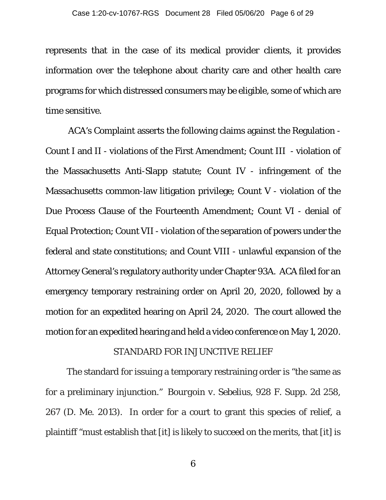represents that in the case of its medical provider clients, it provides information over the telephone about charity care and other health care programs for which distressed consumers may be eligible, some of which are time sensitive.

ACA's Complaint asserts the following claims against the Regulation - Count I and II - violations of the First Amendment; Count III - violation of the Massachusetts Anti-Slapp statute; Count IV - infringement of the Massachusetts common-law litigation privilege; Count V - violation of the Due Process Clause of the Fourteenth Amendment; Count VI - denial of Equal Protection; Count VII - violation of the separation of powers under the federal and state constitutions; and Count VIII - unlawful expansion of the Attorney General's regulatory authority under Chapter 93A. ACA filed for an emergency temporary restraining order on April 20, 2020, followed by a motion for an expedited hearing on April 24, 2020. The court allowed the motion for an expedited hearing and held a video conference on May 1, 2020.

#### STANDARD FOR INJUNCTIVE RELIEF

 The standard for issuing a temporary restraining order is "the same as for a preliminary injunction." *Bourgoin v. Sebelius*, 928 F. Supp. 2d 258, 267 (D. Me. 2013). In order for a court to grant this species of relief, a plaintiff "must establish that [it] is likely to succeed on the merits, that [it] is

6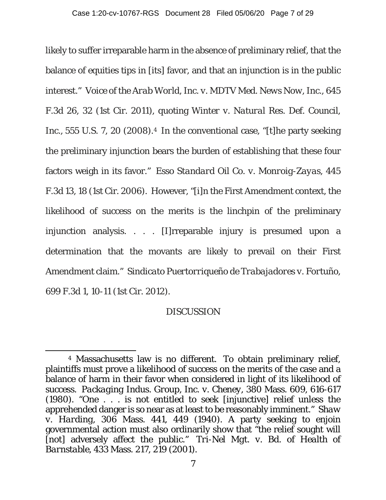likely to suffer irreparable harm in the absence of preliminary relief, that the balance of equities tips in [its] favor, and that an injunction is in the public interest." *Voice of the Arab World, Inc. v. MDTV Med. News Now, Inc.,* 645 F.3d 26, 32 (1st Cir. 2011), quoting *Winter v. Natural Res. Def. Council, Inc.,* 555 U.S. 7, 20 (2008).<sup>4</sup> In the conventional case, "[t]he party seeking the preliminary injunction bears the burden of establishing that these four factors weigh in its favor." *Esso Standard Oil Co. v. Monroig-Zayas*, 445 F.3d 13, 18 (1st Cir. 2006). However, "[i]n the First Amendment context, the likelihood of success on the merits is the linchpin of the preliminary injunction analysis. . . . [I]rreparable injury is presumed upon a determination that the movants are likely to prevail on their First Amendment claim." *Sindicato Puertorriqueño de Trabajadores v. Fortuño*, 699 F.3d 1, 10-11 (1st Cir. 2012).

# DISCUSSION

<span id="page-6-0"></span><sup>4</sup> Massachusetts law is no different. To obtain preliminary relief, plaintiffs must prove a likelihood of success on the merits of the case and a balance of harm in their favor when considered in light of its likelihood of success. *Packaging Indus. Group, Inc. v. Cheney*, 380 Mass. 609, 616-617 (1980). "One . . . is not entitled to seek [injunctive] relief unless the apprehended danger is so near as at least to be reasonably imminent." *Shaw v. Harding*, 306 Mass. 441, 449 (1940). A party seeking to enjoin governmental action must also ordinarily show that "the relief sought will [not] adversely affect the public." *Tri-Nel Mgt. v. Bd. of Health of Barnstable*, 433 Mass. 217, 219 (2001).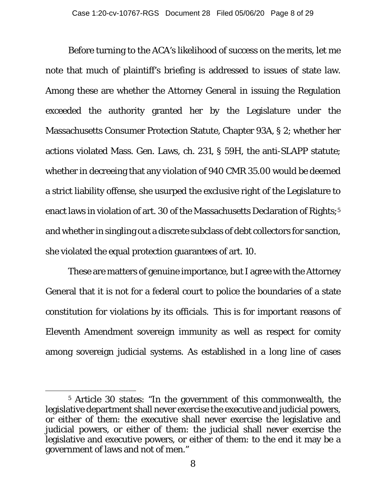Before turning to the ACA's likelihood of success on the merits, let me note that much of plaintiff's briefing is addressed to issues of state law. Among these are whether the Attorney General in issuing the Regulation exceeded the authority granted her by the Legislature under the Massachusetts Consumer Protection Statute, Chapter 93A, § 2; whether her actions violated Mass. Gen. Laws, ch. 231, § 59H, the anti-SLAPP statute; whether in decreeing that any violation of 940 CMR 35.00 would be deemed a strict liability offense, she usurped the exclusive right of the Legislature to enact laws in violation of art. 30 of the Massachusetts Declaration of Rights;<sup>[5](#page-7-0)</sup> and whether in singling out a discrete subclass of debt collectors for sanction, she violated the equal protection guarantees of art. 10.

These are matters of genuine importance, but I agree with the Attorney General that it is not for a federal court to police the boundaries of a state constitution for violations by its officials. This is for important reasons of Eleventh Amendment sovereign immunity as well as respect for comity among sovereign judicial systems. As established in a long line of cases

<span id="page-7-0"></span><sup>5</sup> Article 30 states: "In the government of this commonwealth, the legislative department shall never exercise the executive and judicial powers, or either of them: the executive shall never exercise the legislative and judicial powers, or either of them: the judicial shall never exercise the legislative and executive powers, or either of them: to the end it may be a government of laws and not of men."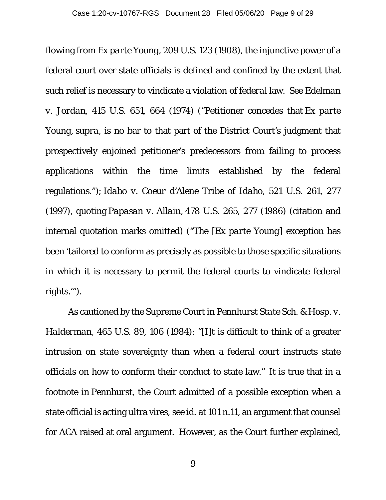flowing from *Ex parte Young*, 209 U.S. 123 (1908), the injunctive power of a federal court over state officials is defined and confined by the extent that such relief is necessary to vindicate a violation of *federal* law. *See Edelman v. Jordan*, 415 U.S. 651, 664 (1974) ("Petitioner concedes that *Ex parte Young*, *supra*, is no bar to that part of the District Court's judgment that prospectively enjoined petitioner's predecessors from failing to process applications within the time limits established by the federal regulations."); *Idaho v. Coeur d'Alene Tribe of Idaho*, 521 U.S. 261, 277 (1997), quoting *Papasan v. Allain,* 478 U.S. 265, 277 (1986) (citation and internal quotation marks omitted) ("The [*Ex parte Young*] exception has been 'tailored to conform as precisely as possible to those specific situations in which it is necessary to permit the federal courts to vindicate federal rights.'").

As cautioned by the Supreme Court in *Pennhurst State Sch. & Hosp. v. Halderman*, 465 U.S. 89, 106 (1984): "[I]t is difficult to think of a greater intrusion on state sovereignty than when a federal court instructs state officials on how to conform their conduct to state law." It is true that in a footnote in *Pennhurst*, the Court admitted of a possible exception when a state official is acting ultra vires, *see id.* at 101 n.11, an argument that counsel for ACA raised at oral argument. However, as the Court further explained,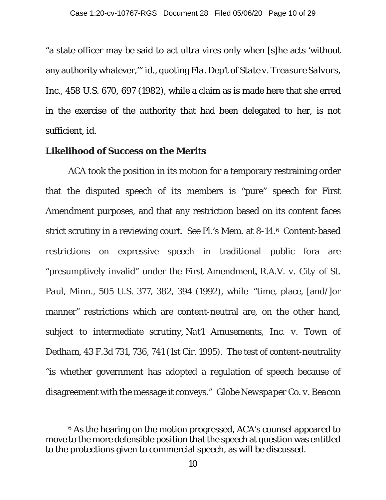"a state officer may be said to act ultra vires only when [s]he acts 'without any authority whatever,'" *id.*, quoting *Fla. Dep't of State v. Treasure Salvors, Inc.*, 458 U.S. 670, 697 (1982), while a claim as is made here that she erred in the exercise of the authority that had been delegated to her, is not sufficient, *id.*

#### **Likelihood of Success on the Merits**

ACA took the position in its motion for a temporary restraining order that the disputed speech of its members is "pure" speech for First Amendment purposes, and that any restriction based on its content faces strict scrutiny in a reviewing court. *See* Pl.'s Mem. at 8-14.[6](#page-9-0) Content-based restrictions on expressive speech in traditional public fora are "presumptively invalid" under the First Amendment, *R.A.V. v. City of St. Paul, Minn.,* 505 U.S. 377, 382, 394 (1992), while "time, place, [and/]or manner" restrictions which are content-neutral are, on the other hand, subject to intermediate scrutiny, *Nat'l Amusements, Inc. v. Town of Dedham*, 43 F.3d 731, 736, 741 (1st Cir. 1995). The test of content-neutrality "is whether government has adopted a regulation of speech because of disagreement with the message it conveys." *Globe Newspaper Co. v. Beacon*

<span id="page-9-0"></span><sup>6</sup> As the hearing on the motion progressed, ACA's counsel appeared to move to the more defensible position that the speech at question was entitled to the protections given to commercial speech, as will be discussed.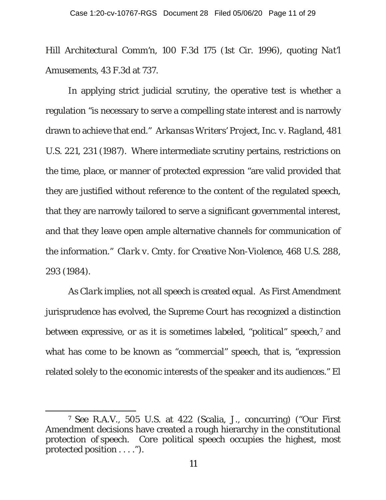*Hill Architectural Comm'n*, 100 F.3d 175 (1st Cir. 1996), quoting *Nat'l Amusements*, 43 F.3d at 737.

In applying strict judicial scrutiny, the operative test is whether a regulation "is necessary to serve a compelling state interest and is narrowly drawn to achieve that end." *Arkansas Writers' Project, Inc. v. Ragland*, 481 U.S. 221, 231 (1987). Where intermediate scrutiny pertains, restrictions on the time, place, or manner of protected expression "are valid provided that they are justified without reference to the content of the regulated speech, that they are narrowly tailored to serve a significant governmental interest, and that they leave open ample alternative channels for communication of the information." *Clark v. Cmty. for Creative Non-Violence*, 468 U.S. 288, 293 (1984).

As *Clark* implies, not all speech is created equal. As First Amendment jurisprudence has evolved, the Supreme Court has recognized a distinction between expressive, or as it is sometimes labeled, "political" speech,[7](#page-10-0) and what has come to be known as "commercial" speech, that is, "expression related solely to the economic interests of the speaker and its audiences." *El*

<span id="page-10-0"></span><sup>7</sup> S*ee R.A.V.*, 505 U.S. at 422 (Scalia, J., concurring) ("Our First Amendment decisions have created a rough hierarchy in the constitutional protection of speech. Core political speech occupies the highest, most protected position . . . .").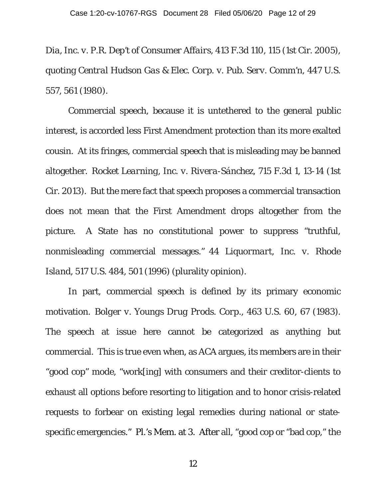*Dia, Inc. v. P.R. Dep't of Consumer Affairs*, 413 F.3d 110, 115 (1st Cir. 2005), quoting *Central Hudson Gas & Elec. Corp. v. Pub. Serv. Comm'n*, 447 U.S. 557, 561 (1980).

Commercial speech, because it is untethered to the general public interest, is accorded less First Amendment protection than its more exalted cousin. At its fringes, commercial speech that is misleading may be banned altogether. *Rocket Learning, Inc. v. Rivera-Sánchez*, 715 F.3d 1, 13-14 (1st Cir. 2013). But the mere fact that speech proposes a commercial transaction does not mean that the First Amendment drops altogether from the picture. A State has no constitutional power to suppress "truthful, nonmisleading commercial messages." *44 Liquormart, Inc. v. Rhode Island*, 517 U.S. 484, 501 (1996) (plurality opinion).

In part, commercial speech is defined by its primary economic motivation. *Bolger v. Youngs Drug Prods. Corp.*, 463 U.S. 60, 67 (1983). The speech at issue here cannot be categorized as anything but commercial. This is true even when, as ACA argues, its members are in their "good cop" mode, "work[ing] with consumers and their creditor-clients to exhaust all options before resorting to litigation and to honor crisis-related requests to forbear on existing legal remedies during national or statespecific emergencies." Pl.'s Mem. at 3. After all, "good cop or "bad cop," the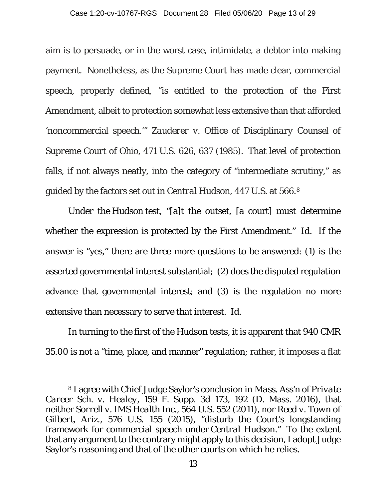aim is to persuade, or in the worst case, intimidate, a debtor into making payment. Nonetheless, as the Supreme Court has made clear, commercial speech, properly defined, "is entitled to the protection of the First Amendment, albeit to protection somewhat less extensive than that afforded 'noncommercial speech.'" *Zauderer v. Office of Disciplinary Counsel of Supreme Court of Ohio*, 471 U.S. 626, 637 (1985). That level of protection falls, if not always neatly, into the category of "intermediate scrutiny," as guided by the factors set out in *Central Hudson*, 447 U.S. at 566.[8](#page-12-0)

Under the *Hudson* test, "[a]t the outset, [a court] must determine whether the expression is protected by the First Amendment." *Id.* If the answer is "yes," there are three more questions to be answered: (1) is the asserted governmental interest substantial; (2) does the disputed regulation advance that governmental interest; and (3) is the regulation no more extensive than necessary to serve that interest. *Id*.

In turning to the first of the *Hudson* tests, it is apparent that 940 CMR 35.00 is not a "time, place, and manner" regulation; rather, it imposes a flat

<span id="page-12-0"></span><sup>8</sup> I agree with Chief Judge Saylor's conclusion in *Mass. Ass'n of Private Career Sch. v. Healey*, 159 F. Supp. 3d 173, 192 (D. Mass. 2016), that neither *Sorrell v. IMS Health Inc*., 564 U.S. 552 (2011), nor *Reed v. Town of Gilbert, Ariz.*, 576 U.S. 155 (2015), "disturb the Court's longstanding framework for commercial speech under *Central Hudson*." To the extent that any argument to the contrary might apply to this decision, I adopt Judge Saylor's reasoning and that of the other courts on which he relies.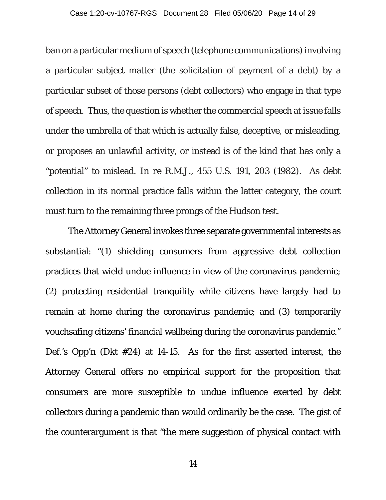ban on a particular medium of speech (telephone communications)involving a particular subject matter (the solicitation of payment of a debt) by a particular subset of those persons (debt collectors) who engage in that type of speech. Thus, the question is whether the commercial speech at issue falls under the umbrella of that which is actually false, deceptive, or misleading, or proposes an unlawful activity, or instead is of the kind that has only a "potential" to mislead. *In re R.M.J.*, 455 U.S. 191, 203 (1982). As debt collection in its normal practice falls within the latter category, the court must turn to the remaining three prongs of the *Hudson* test.

The Attorney General invokes three separate governmental interests as substantial: "(1) shielding consumers from aggressive debt collection practices that wield undue influence in view of the coronavirus pandemic; (2) protecting residential tranquility while citizens have largely had to remain at home during the coronavirus pandemic; and (3) temporarily vouchsafing citizens' financial wellbeing during the coronavirus pandemic." Def.'s Opp'n (Dkt #24) at 14-15. As for the first asserted interest, the Attorney General offers no empirical support for the proposition that consumers are more susceptible to undue influence exerted by debt collectors during a pandemic than would ordinarily be the case. The gist of the counterargument is that "the mere suggestion of physical contact with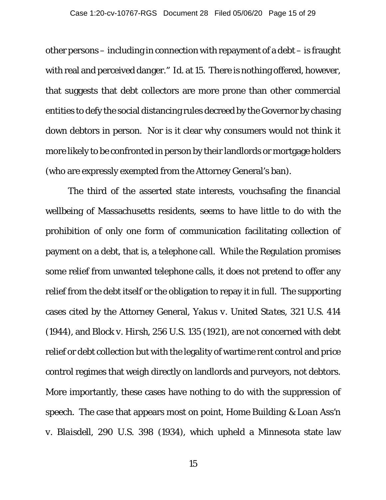other persons – including in connection with repayment of a debt – is fraught with real and perceived danger." *Id*. at 15. There is nothing offered, however, that suggests that debt collectors are more prone than other commercial entities to defy the social distancing rules decreed by the Governor by chasing down debtors in person. Nor is it clear why consumers would not think it more likely to be confronted in person by their landlords or mortgage holders (who are expressly exempted from the Attorney General's ban).

The third of the asserted state interests, vouchsafing the financial wellbeing of Massachusetts residents, seems to have little to do with the prohibition of only one form of communication facilitating collection of payment on a debt, that is, a telephone call. While the Regulation promises some relief from unwanted telephone calls, it does not pretend to offer any relief from the debt itself or the obligation to repay it in full. The supporting cases cited by the Attorney General, *Yakus v. United States*, 321 U.S. 414 (1944), and *Block v. Hirsh*, 256 U.S. 135 (1921), are not concerned with debt relief or debt collection but with the legality of wartime rent control and price control regimes that weigh directly on landlords and purveyors, not debtors. More importantly, these cases have nothing to do with the suppression of speech. The case that appears most on point, *Home Building & Loan Ass'n v. Blaisdell*, 290 U.S. 398 (1934), which upheld a Minnesota state law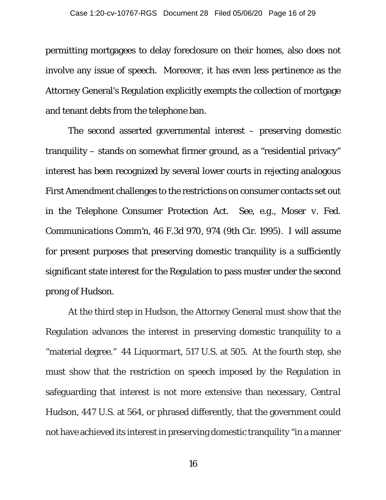permitting mortgagees to delay foreclosure on their homes, also does not involve any issue of speech. Moreover, it has even less pertinence as the Attorney General's Regulation explicitly exempts the collection of mortgage and tenant debts from the telephone ban.

The second asserted governmental interest – preserving domestic tranquility – stands on somewhat firmer ground, as a "residential privacy" interest has been recognized by several lower courts in rejecting analogous First Amendment challenges to the restrictions on consumer contacts set out in the Telephone Consumer Protection Act. *See, e.g., Moser v. Fed. Communications Comm'n*, 46 F.3d 970, 974 (9th Cir. 1995). I will assume for present purposes that preserving domestic tranquility is a sufficiently significant state interest for the Regulation to pass muster under the second prong of *Hudson*.

At the third step in *Hudson*, the Attorney General must show that the Regulation advances the interest in preserving domestic tranquility to a "material degree." *44 Liquormart*, 517 U.S. at 505. At the fourth step, she must show that the restriction on speech imposed by the Regulation in safeguarding that interest is not more extensive than necessary, *Central Hudson*, 447 U.S. at 564, or phrased differently, that the government could not have achieved its interest in preserving domestic tranquility "in a manner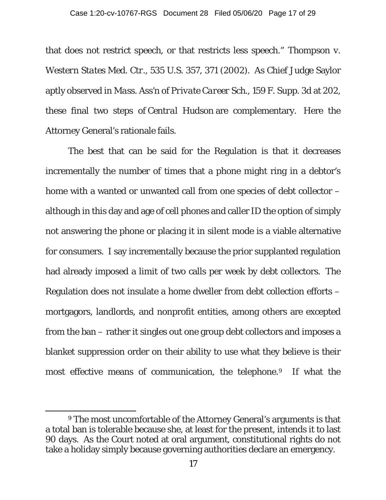that does not restrict speech, or that restricts less speech." *Thompson v. Western States Med. Ctr*., 535 U.S. 357, 371 (2002). As Chief Judge Saylor aptly observed in *Mass. Ass'n of Private Career Sch.*, 159 F. Supp. 3d at 202, these final two steps of *Central Hudson* are complementary. Here the Attorney General's rationale fails.

The best that can be said for the Regulation is that it decreases incrementally the number of times that a phone might ring in a debtor's home with a wanted or unwanted call from one species of debt collector – although in this day and age of cell phones and caller ID the option of simply not answering the phone or placing it in silent mode is a viable alternative for consumers. I say incrementally because the prior supplanted regulation had already imposed a limit of two calls per week by debt collectors. The Regulation does not insulate a home dweller from debt collection efforts – mortgagors, landlords, and nonprofit entities, among others are excepted from the ban – rather it singles out one group debt collectors and imposes a blanket suppression order on their ability to use what they believe is their most effective means of communication, the telephone.<sup>[9](#page-16-0)</sup> If what the

<span id="page-16-0"></span><sup>9</sup> The most uncomfortable of the Attorney General's arguments is that a total ban is tolerable because she, at least for the present, intends it to last 90 days. As the Court noted at oral argument, constitutional rights do not take a holiday simply because governing authorities declare an emergency.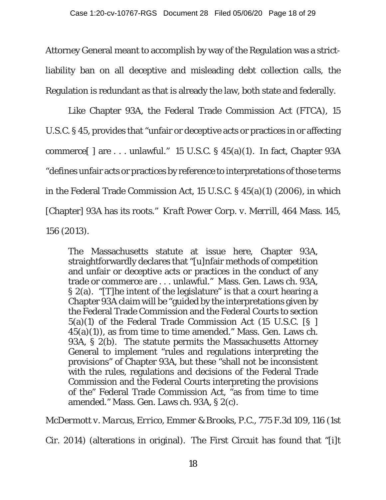Attorney General meant to accomplish by way of the Regulation was a strictliability ban on all deceptive and misleading debt collection calls, the Regulation is redundant as that is already the law, both state and federally.

Like Chapter 93A, the Federal Trade Commission Act (FTCA), 15 U.S.C. § 45, provides that "unfair or deceptive acts or practices in or affecting commerce $[ \ ]$  are . . . unlawful." 15 U.S.C. § 45(a)(1). In fact, Chapter 93A "defines unfair acts or practices by reference to interpretations of those terms in the Federal Trade Commission Act, 15 U.S.C. § 45(a)(1) (2006), in which [Chapter] 93A has its roots." *Kraft Power Corp. v. Merrill*, 464 Mass. 145, 156 (2013).

The Massachusetts statute at issue here, Chapter 93A, straightforwardly declares that "[u]nfair methods of competition and unfair or deceptive acts or practices in the conduct of any trade or commerce are . . . unlawful." Mass. Gen. Laws ch. 93A, § 2(a). "[T]he intent of the legislature" is that a court hearing a Chapter 93A claim will be "guided by the interpretations given by the Federal Trade Commission and the Federal Courts to section 5(a)(1) of the Federal Trade Commission Act (15 U.S.C. [§ ]  $45(a)(1)$ , as from time to time amended." Mass. Gen. Laws ch. 93A, § 2(b). The statute permits the Massachusetts Attorney General to implement "rules and regulations interpreting the provisions" of Chapter 93A, but these "shall not be inconsistent with the rules, regulations and decisions of the Federal Trade Commission and the Federal Courts interpreting the provisions of the" Federal Trade Commission Act, "as from time to time amended." Mass. Gen. Laws ch. 93A, § 2(c).

*McDermott v. Marcus, Errico, Emmer & Brooks, P.C.*, 775 F.3d 109, 116 (1st

Cir. 2014) (alterations in original). The First Circuit has found that "[i]t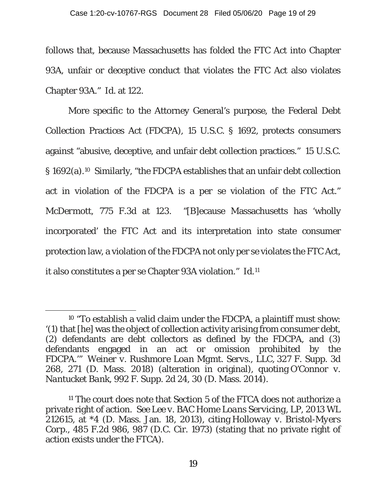follows that, because Massachusetts has folded the FTC Act into Chapter 93A, unfair or deceptive conduct that violates the FTC Act also violates Chapter 93A." *Id.* at 122.

More specific to the Attorney General's purpose, the Federal Debt Collection Practices Act (FDCPA), 15 U.S.C. § 1692, protects consumers against "abusive, deceptive, and unfair debt collection practices." 15 U.S.C. § 1692(a).[10](#page-18-0) Similarly, "the FDCPA establishes that an unfair debt collection act in violation of the FDCPA is a *per se* violation of the FTC Act." *McDermott*, 775 F.3d at 123. "[B]ecause Massachusetts has 'wholly incorporated' the FTC Act and its interpretation into state consumer protection law, a violation of the FDCPA not only per se violates the FTC Act, it also constitutes a per se Chapter 93A violation." *Id.*[11](#page-18-1)

<span id="page-18-0"></span><sup>10</sup> "To establish a valid claim under the FDCPA, a plaintiff must show: '(1) that [he] was the object of collection activity arising from consumer debt, (2) defendants are debt collectors as defined by the FDCPA, and (3) defendants engaged in an act or omission prohibited by the FDCPA.'" *Weiner v. Rushmore Loan Mgmt. Servs., LLC*, 327 F. Supp. 3d 268, 271 (D. Mass. 2018) (alteration in original), quoting *O'Connor v. Nantucket Bank*, 992 F. Supp. 2d 24, 30 (D. Mass. 2014).

<span id="page-18-1"></span><sup>11</sup> The court does note that Section 5 of the FTCA does not authorize a private right of action. *See Lee v. BAC Home Loans Servicing, LP*, 2013 WL 212615, at \*4 (D. Mass. Jan. 18, 2013), citing *Holloway v. Bristol-Myers Corp.*, 485 F.2d 986, 987 (D.C. Cir. 1973) (stating that no private right of action exists under the FTCA).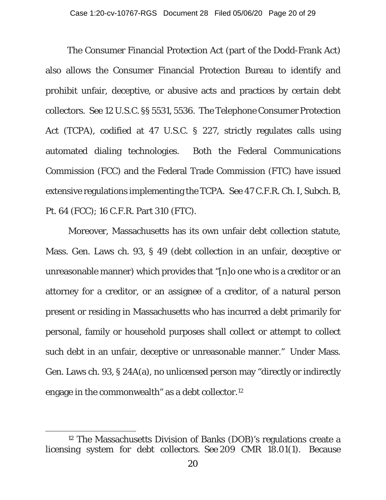The Consumer Financial Protection Act (part of the Dodd-Frank Act) also allows the Consumer Financial Protection Bureau to identify and prohibit unfair, deceptive, or abusive acts and practices by certain debt collectors. *See* 12 U.S.C. §§ 5531, 5536. The Telephone Consumer Protection Act (TCPA), codified at 47 U.S.C. § 227, strictly regulates calls using automated dialing technologies. Both the Federal Communications Commission (FCC) and the Federal Trade Commission (FTC) have issued extensive regulations implementing the TCPA. *See* 47 C.F.R. Ch. I, Subch. B, Pt. 64 (FCC); 16 C.F.R. Part 310 (FTC).

Moreover, Massachusetts has its own unfair debt collection statute, Mass. Gen. Laws ch. 93, § 49 (debt collection in an unfair, deceptive or unreasonable manner) which provides that "[n]o one who is a creditor or an attorney for a creditor, or an assignee of a creditor, of a natural person present or residing in Massachusetts who has incurred a debt primarily for personal, family or household purposes shall collect or attempt to collect such debt in an unfair, deceptive or unreasonable manner." Under Mass. Gen. Laws ch. 93, § 24A(a), no unlicensed person may "directly or indirectly engage in the commonwealth" as a debt collector.[12](#page-19-0)

<span id="page-19-0"></span><sup>12</sup> The Massachusetts Division of Banks (DOB)'s regulations create a licensing system for debt collectors. *See* 209 CMR 18.01(1). Because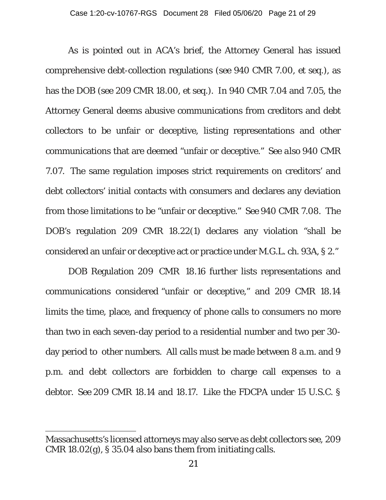As is pointed out in ACA's brief, the Attorney General has issued comprehensive debt-collection regulations (*see* 940 CMR 7.00, *et seq*.), as has the DOB (*see* 209 CMR 18.00, *et seq*.). In 940 CMR 7.04 and 7.05, the Attorney General deems abusive communications from creditors and debt collectors to be unfair or deceptive, listing representations and other communications that are deemed "unfair or deceptive." *See also* 940 CMR 7.07. The same regulation imposes strict requirements on creditors' and debt collectors' initial contacts with consumers and declares any deviation from those limitations to be "unfair or deceptive." *See* 940 CMR 7.08. The DOB's regulation 209 CMR 18.22(1) declares any violation "shall be considered an unfair or deceptive act or practice under M.G.L. ch. 93A, § 2."

DOB Regulation 209 CMR 18.16 further lists representations and communications considered "unfair or deceptive," and 209 CMR 18.14 limits the time, place, and frequency of phone calls to consumers no more than two in each seven-day period to a residential number and two per 30 day period to other numbers. All calls must be made between 8 a.m. and 9 p.m. and debt collectors are forbidden to charge call expenses to a debtor. *See* 209 CMR 18.14 and 18.17. Like the FDCPA under 15 U.S.C. §

Massachusetts's licensed attorneys may also serve as debt collectors *see,* 209 CMR 18.02(g), § 35.04 also bans them from initiating calls.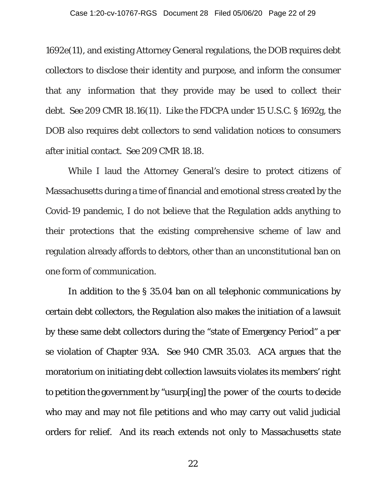1692e(11), and existing Attorney General regulations, the DOB requires debt collectors to disclose their identity and purpose, and inform the consumer that any information that they provide may be used to collect their debt. *See* 209 CMR 18.16(11). Like the FDCPA under 15 U.S.C. § 1692g, the DOB also requires debt collectors to send validation notices to consumers after initial contact. *See* 209 CMR 18.18.

While I laud the Attorney General's desire to protect citizens of Massachusetts during a time of financial and emotional stress created by the Covid-19 pandemic, I do not believe that the Regulation adds anything to their protections that the existing comprehensive scheme of law and regulation already affords to debtors, other than an unconstitutional ban on one form of communication.

In addition to the § 35.04 ban on all telephonic communications by certain debt collectors, the Regulation also makes the initiation of a lawsuit by these same debt collectors during the "state of Emergency Period" a *per se* violation of Chapter 93A. *See* 940 CMR 35.03. ACA argues that the moratorium on initiating debt collection lawsuits violates its members' right to petition the government by "usurp[ing] the power of the courts to decide who may and may not file petitions and who may carry out valid judicial orders for relief. And its reach extends not only to Massachusetts state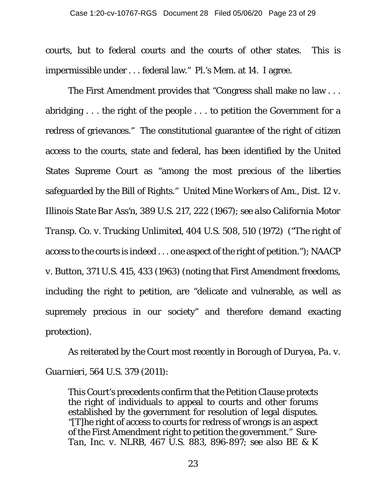courts, but to federal courts and the courts of other states. This is impermissible under . . . federal law." Pl.'s Mem. at 14. I agree.

The First Amendment provides that "Congress shall make no law . . . abridging . . . the right of the people . . . to petition the Government for a redress of grievances." The constitutional guarantee of the right of citizen access to the courts, state and federal, has been identified by the United States Supreme Court as "among the most precious of the liberties safeguarded by the Bill of Rights." *United Mine Workers of Am., Dist. 12 v. Illinois State Bar Ass'n,* 389 U.S. 217, 222 (1967); *see also California Motor Transp. Co. v. Trucking Unlimited,* 404 U.S. 508, 510 (1972) ("The right of access to the courts is indeed . . . one aspect of the right of petition."); *NAACP v. Button,* 371 U.S. 415, 433 (1963) (noting that First Amendment freedoms, including the right to petition, are "delicate and vulnerable, as well as supremely precious in our society" and therefore demand exacting protection).

As reiterated by the Court most recently in *Borough of Duryea, Pa. v. Guarnieri*, 564 U.S. 379 (2011):

This Court's precedents confirm that the Petition Clause protects the right of individuals to appeal to courts and other forums established by the government for resolution of legal disputes. "[T]he right of access to courts for redress of wrongs is an aspect of the First Amendment right to petition the government." *Sure-Tan, Inc. v. NLRB*, 467 U.S. 883, 896-897; *see also BE & K*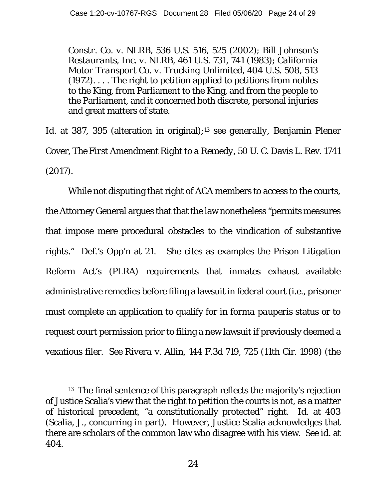*Constr. Co. v. NLRB*, 536 U.S. 516, 525 (2002); *Bill Johnson's Restaurants, Inc. v. NLRB*, 461 U.S. 731, 741 (1983); *California Motor Transport Co. v. Trucking Unlimited*, 404 U.S. 508, 513 (1972). . . . The right to petition applied to petitions from nobles to the King, from Parliament to the King, and from the people to the Parliament, and it concerned both discrete, personal injuries and great matters of state.

*Id.* at 387, 395 (alteration in original);[13](#page-23-0) *see generally,* Benjamin Plener Cover*, The First Amendment Right to a Remedy,* 50 U. C. Davis L. Rev. 1741 *(*2017).

While not disputing that right of ACA members to access to the courts, the Attorney General argues that that the law nonetheless "permits measures that impose mere procedural obstacles to the vindication of substantive rights." Def.'s Opp'n at 21. She cites as examples the Prison Litigation Reform Act's (PLRA) requirements that inmates exhaust available administrative remedies before filing a lawsuit in federal court (i.e., prisoner must complete an application to qualify for *in forma pauperis* status or to request court permission prior to filing a new lawsuit if previously deemed a vexatious filer. *See Rivera v. Allin*, 144 F.3d 719, 725 (11th Cir. 1998) (the

<span id="page-23-0"></span><sup>13</sup> The final sentence of this paragraph reflects the majority's rejection of Justice Scalia's view that the right to petition the courts is not, as a matter of historical precedent, "a constitutionally protected" right. *Id.* at 403 (Scalia, J., concurring in part). However, Justice Scalia acknowledges that there are scholars of the common law who disagree with his view. *See id.* at 404.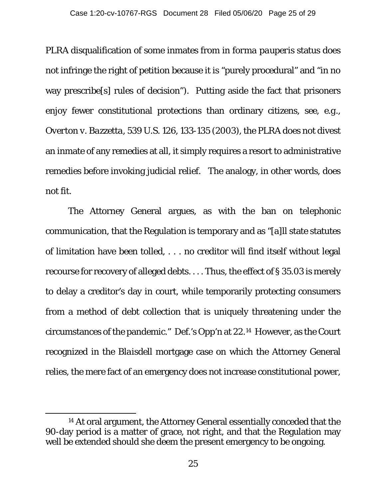PLRA disqualification of some inmates from *in forma pauperis* status does not infringe the right of petition because it is "purely procedural" and "in no way prescribe[s] rules of decision"). Putting aside the fact that prisoners enjoy fewer constitutional protections than ordinary citizens, *see, e.g., Overton v. Bazzetta*, 539 U.S. 126, 133-135 (2003), the PLRA does not divest an inmate of any remedies at all, it simply requires a resort to administrative remedies before invoking judicial relief. The analogy, in other words, does not fit.

The Attorney General argues, as with the ban on telephonic communication, that the Regulation is temporary and as "[a]ll state statutes of limitation have been tolled, . . . no creditor will find itself without legal recourse for recovery of alleged debts. . . . Thus, the effect of § 35.03 is merely to delay a creditor's day in court, while temporarily protecting consumers from a method of debt collection that is uniquely threatening under the circumstances of the pandemic." Def.'s Opp'n at 22.[14](#page-24-0) However, as the Court recognized in the *Blaisdell* mortgage case on which the Attorney General relies, the mere fact of an emergency does not increase constitutional power,

<span id="page-24-0"></span><sup>14</sup> At oral argument, the Attorney General essentially conceded that the 90-day period is a matter of grace, not right, and that the Regulation may well be extended should she deem the present emergency to be ongoing.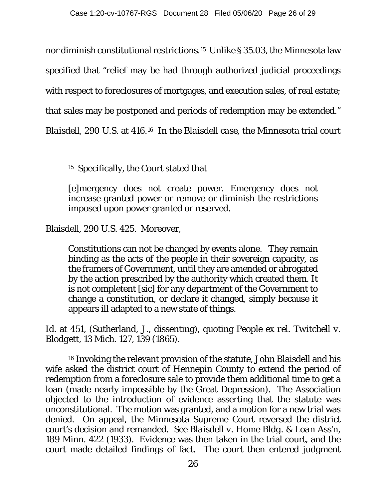nor diminish constitutional restrictions.[15](#page-25-0) Unlike § 35.03, the Minnesota law specified that "relief may be had through authorized judicial proceedings with respect to foreclosures of mortgages, and execution sales, of real estate; that sales may be postponed and periods of redemption may be extended." *Blaisdell*, 290 U.S. at 416.[16](#page-25-1) In the *Blaisdell case*, the Minnesota trial court

<span id="page-25-0"></span>15 Specifically, the Court stated that

[e]mergency does not create power. Emergency does not increase granted power or remove or diminish the restrictions imposed upon power granted or reserved.

Blaisdell, 290 U.S. 425. Moreover,

Constitutions can not be changed by events alone. They remain binding as the acts of the people in their sovereign capacity, as the framers of Government, until they are amended or abrogated by the action prescribed by the authority which created them. It is not completent [*sic*] for any department of the Government to change a constitution, or declare it changed, simply because it appears ill adapted to a new state of things.

*Id.* at 451, (Sutherland, J., dissenting), quoting *People ex rel. Twitchell v. Blodgett*, 13 Mich. 127, 139 (1865).

<span id="page-25-1"></span><sup>16</sup> Invoking the relevant provision of the statute, John Blaisdell and his wife asked the district court of Hennepin County to extend the period of redemption from a foreclosure sale to provide them additional time to get a loan (made nearly impossible by the Great Depression). The Association objected to the introduction of evidence asserting that the statute was unconstitutional. The motion was granted, and a motion for a new trial was denied. On appeal, the Minnesota Supreme Court reversed the district court's decision and remanded. *See Blaisdell v. Home Bldg. & Loan Ass'n*, 189 Minn. 422 (1933). Evidence was then taken in the trial court, and the court made detailed findings of fact. The court then entered judgment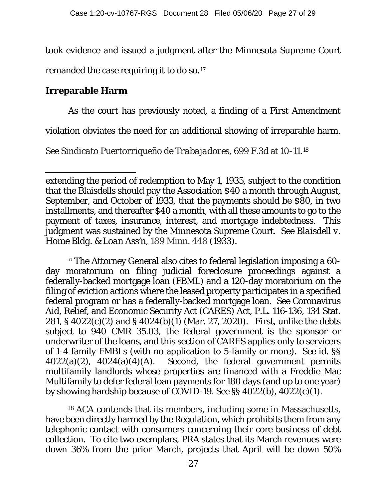took evidence and issued a judgment after the Minnesota Supreme Court

remanded the case requiring it to do so.[17](#page-26-0)

# **Irreparable Harm**

As the court has previously noted, a finding of a First Amendment

violation obviates the need for an additional showing of irreparable harm.

*See Sindicato Puertorriqueño de Trabajadores,* 699 F.3d at 10-11.[18](#page-26-1)

<span id="page-26-0"></span><sup>17</sup> The Attorney General also cites to federal legislation imposing a 60day moratorium on filing judicial foreclosure proceedings against a federally-backed mortgage loan (FBML) and a 120-day moratorium on the filing of eviction actions where the leased property participates in a specified federal program or has a federally-backed mortgage loan. *See* Coronavirus Aid, Relief, and Economic Security Act (CARES) Act, P.L. 116-136, 134 Stat. 281, § 4022(c)(2) and § 4024(b)(1) (Mar. 27, 2020). First, unlike the debts subject to 940 CMR 35.03, the federal government is the sponsor or underwriter of the loans, and this section of CARES applies only to servicers of 1-4 family FMBLs (with no application to 5-family or more). *See id*. §§  $4022(a)(2)$ ,  $4024(a)(4)(A)$ . Second, the federal government permits multifamily landlords whose properties are financed with a Freddie Mac Multifamily to defer federal loan payments for 180 days (and up to one year) by showing hardship because of COVID-19. *See* §§ 4022(b), 4022(c)(1).

<span id="page-26-1"></span><sup>18</sup> ACA contends that its members, including some in Massachusetts, have been directly harmed by the Regulation, which prohibits them from any telephonic contact with consumers concerning their core business of debt collection. To cite two exemplars, PRA states that its March revenues were down 36% from the prior March, projects that April will be down 50%

extending the period of redemption to May 1, 1935, subject to the condition that the Blaisdells should pay the Association \$40 a month through August, September, and October of 1933, that the payments should be \$80, in two installments, and thereafter \$40 a month, with all these amounts to go to the payment of taxes, insurance, interest, and mortgage indebtedness. This judgment was sustained by the Minnesota Supreme Court. *See Blaisdell v. Home Bldg. & Loan Ass'n,* 189 Minn. 448 (1933).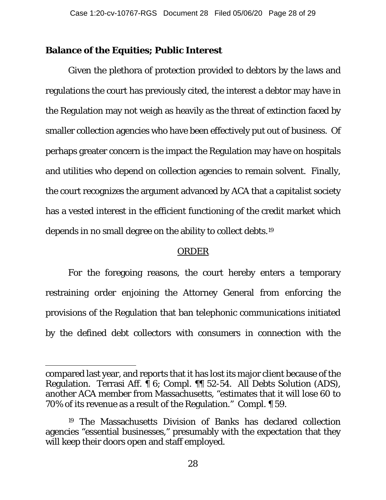## **Balance of the Equities; Public Interest**

Given the plethora of protection provided to debtors by the laws and regulations the court has previously cited, the interest a debtor may have in the Regulation may not weigh as heavily as the threat of extinction faced by smaller collection agencies who have been effectively put out of business. Of perhaps greater concern is the impact the Regulation may have on hospitals and utilities who depend on collection agencies to remain solvent. Finally, the court recognizes the argument advanced by ACA that a capitalist society has a vested interest in the efficient functioning of the credit market which depends in no small degree on the ability to collect debts.[19](#page-27-0)

#### ORDER

For the foregoing reasons, the court hereby enters a temporary restraining order enjoining the Attorney General from enforcing the provisions of the Regulation that ban telephonic communications initiated by the defined debt collectors with consumers in connection with the

compared last year, and reports that it has lost its major client because of the Regulation. Terrasi Aff. ¶ 6; Compl. ¶¶ 52-54. All Debts Solution (ADS), another ACA member from Massachusetts, "estimates that it will lose 60 to 70% of its revenue as a result of the Regulation." Compl. ¶ 59.

<span id="page-27-0"></span><sup>19</sup> The Massachusetts Division of Banks has declared collection agencies "essential businesses," presumably with the expectation that they will keep their doors open and staff employed.